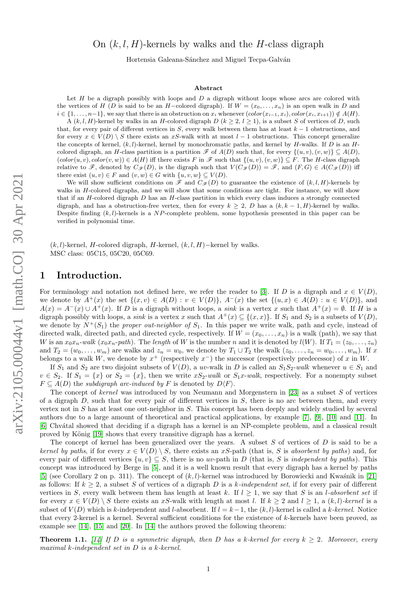# On  $(k, l, H)$ -kernels by walks and the H-class digraph

Hortensia Galeana-Sánchez and Miguel Tecpa-Galván

#### Abstract

Let  $H$  be a digraph possibly with loops and  $D$  a digraph without loops whose arcs are colored with the vertices of H (D is said to be an H–colored digraph). If  $W = (x_0, \ldots, x_n)$  is an open walk in D and  $i \in \{1, \ldots, n-1\}$ , we say that there is an obstruction on  $x_i$  whenever  $(color(x_{i-1}, x_i), color(x_i, x_{i+1})) \notin A(H)$ .

A  $(k, l, H)$ -kernel by walks in an H-colored digraph  $D$   $(k \geq 2, l \geq 1)$ , is a subset S of vertices of D, such that, for every pair of different vertices in S, every walk between them has at least  $k - 1$  obstructions, and for every  $x \in V(D) \setminus S$  there exists an xS-walk with at most  $l-1$  obstructions. This concept generalize the concepts of kernel,  $(k, l)$ -kernel, kernel by monochromatic paths, and kernel by H-walks. If D is an Hcolored digraph, an H-class partition is a partition  $\mathscr F$  of  $A(D)$  such that, for every  $\{(u, v), (v, w)\}\subseteq A(D)$ ,  $(color(u, v), color(v, w)) \in A(H)$  iff there exists F in  $\mathscr F$  such that  $\{(u, v), (v, w)\}\subseteq F$ . The H-class digraph relative to  $\mathscr{F}$ , denoted by  $C_{\mathscr{F}}(D)$ , is the digraph such that  $V(C_{\mathscr{F}}(D)) = \mathscr{F}$ , and  $(F, G) \in A(C_{\mathscr{F}}(D))$  iff there exist  $(u, v) \in F$  and  $(v, w) \in G$  with  $\{u, v, w\} \subseteq V(D)$ .

We will show sufficient conditions on  $\mathscr F$  and  $C_{\mathscr F}(D)$  to guarantee the existence of  $(k, l, H)$ -kernels by walks in H-colored digraphs, and we will show that some conditions are tight. For instance, we will show that if an  $H$ -colored digraph  $D$  has an  $H$ -class partition in which every class induces a strongly connected digraph, and has a obstruction-free vertex, then for every  $k \geq 2$ , D has a  $(k, k - 1, H)$ -kernel by walks. Despite finding  $(k, l)$ -kernels is a NP-complete problem, some hypothesis presented in this paper can be verified in polynomial time.

 $(k, l)$ -kernel, H-colored digraph, H-kernel,  $(k, l, H)$ –kernel by walks. MSC class: 05C15, 05C20, 05C69.

## 1 Introduction.

For terminology and notation not defined here, we refer the reader to [\[3\]](#page-9-0). If D is a digraph and  $x \in V(D)$ , we denote by  $A^+(x)$  the set  $\{(x, v) \in A(D) : v \in V(D)\}$ ,  $A^-(x)$  the set  $\{(u, x) \in A(D) : u \in V(D)\}$ , and  $A(x) = A^{-}(x) \cup A^{+}(x)$ . If D is a digraph without loops, a sink is a vertex x such that  $A^{+}(x) = \emptyset$ . If H is a digraph possibly with loops, a *sink* is a vertex x such that  $A^+(x) \subseteq \{(x,x)\}\$ . If  $S_1$  and  $S_2$  is a subsets of  $V(D)$ , we denote by  $N^+(S_1)$  the proper out-neighbor of  $S_1$ . In this paper we write walk, path and cycle, instead of directed walk, directed path, and directed cycle, respectively. If  $W = (x_0, \ldots, x_n)$  is a walk (path), we say that W is an  $x_0x_n$ -walk  $(x_0x_n-path)$ . The length of W is the number n and it is denoted by  $l(W)$ . If  $T_1 = (z_0, \ldots, z_n)$ and  $T_2 = (w_0, \ldots, w_m)$  are walks and  $z_n = w_0$ , we denote by  $T_1 \cup T_2$  the walk  $(z_0, \ldots, z_n = w_0, \ldots, w_m)$ . If x belongs to a walk W, we denote by  $x^+$  (respectively  $x^-$ ) the successor (respectively predecessor) of x in W.

If  $S_1$  and  $S_2$  are two disjoint subsets of  $V(D)$ , a uv-walk in D is called an  $S_1S_2$ -walk whenever  $u \in S_1$  and  $v \in S_2$ . If  $S_1 = \{x\}$  or  $S_2 = \{x\}$ , then we write  $xS_2$ -walk or  $S_1x$ -walk, respectively. For a nonempty subset  $F \subseteq A(D)$  the subdigraph arc-induced by F is denoted by  $D\langle F \rangle$ .

The concept of kernel was introduced by von Neumann and Morgenstern in [\[23\]](#page-10-0) as a subset S of vertices of a digraph  $D$ , such that for every pair of different vertices in  $S$ , there is no arc between them, and every vertex not in S has at least one out-neighbor in S. This concept has been deeply and widely studied by several authors due to a large amount of theoretical and practical applications, by example [\[7\]](#page-10-1), [\[9\]](#page-10-2), [\[10\]](#page-10-3) and [\[11\]](#page-10-4). In [\[6\]](#page-10-5) Chv´atal showed that deciding if a digraph has a kernel is an NP-complete problem, and a classical result proved by König [\[19\]](#page-10-6) shows that every transitive digraph has a kernel.

The concept of kernel has been generalized over the years. A subset S of vertices of D is said to be a kernel by paths, if for every  $x \in V(D) \setminus S$ , there exists an xS-path (that is, S is absorbent by paths) and, for every pair of different vertices  $\{u, v\} \subseteq S$ , there is no uv-path in D (that is, S is independent by paths). This concept was introduced by Berge in [\[5\]](#page-10-7), and it is a well known result that every digraph has a kernel by paths [\[5\]](#page-10-7) (see Corollary 2 on p. 311). The concept of  $(k, l)$ -kernel was introduced by Borowiecki and Kwaśnik in [\[21\]](#page-10-8) as follows: If  $k \geq 2$ , a subset S of vertices of a digraph D is a k-independent set, if for every pair of different vertices in S, every walk between them has length at least k. If  $l \geq 1$ , we say that S is an l-absorbent set if for every  $x \in V(D) \setminus S$  there exists an xS-walk with length at most l. If  $k \geq 2$  and  $l \geq 1$ , a  $(k, l)$ -kernel is a subset of  $V(D)$  which is k-independent and l-absorbent. If  $l = k-1$ , the  $(k, l)$ -kernel is called a k-kernel. Notice that every 2-kernel is a kernel. Several sufficient conditions for the existence of k-kernels have been proved, as example see [\[14\]](#page-10-9), [\[15\]](#page-10-10) and [\[20\]](#page-10-11). In [\[14\]](#page-10-9) the authors proved the following theorem:

<span id="page-0-0"></span>**Theorem 1.1.** [\[14\]](#page-10-9) If D is a symmetric digraph, then D has a k-kernel for every  $k \geq 2$ . Moreover, every maximal k-independent set in D is a k-kernel.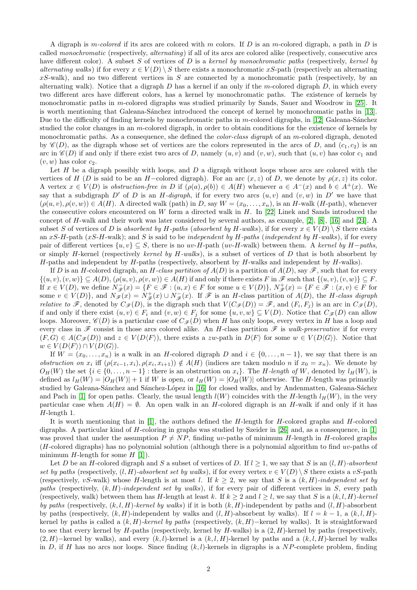A digraph is m-colored if its arcs are colored with m colors. If D is an m-colored digraph, a path in D is called monochromatic (respectively, alternating) if all of its arcs are colored alike (respectively, consecutive arcs have different color). A subset S of vertices of D is a kernel by monochromatic paths (respectively, kernel by alternating walks) if for every  $x \in V(D) \setminus S$  there exists a monochromatic xS-path (respectively an alternating  $xS$ -walk), and no two different vertices in S are connected by a monochromatic path (respectively, by an alternating walk). Notice that a digraph  $D$  has a kernel if an only if the m-colored digraph  $D$ , in which every two different arcs have different colors, has a kernel by monochromatic paths. The existence of kernels by monochromatic paths in m-colored digraphs was studied primarily by Sands, Sauer and Woodrow in [\[25\]](#page-10-12). It is worth mentioning that Galeana-Sánchez introduced the concept of kernel by monochromatic paths in [\[13\]](#page-10-13). Due to the difficulty of finding kernels by monochromatic paths in m-colored digraphs, in  $[12]$  Galeana-Sánchez studied the color changes in an m-colored digraph, in order to obtain conditions for the existence of kernels by monochromatic paths. As a consequence, she defined the *color-class digraph* of an m-colored digraph, denoted by  $\mathscr{C}(D)$ , as the digraph whose set of vertices are the colors represented in the arcs of D, and  $(c_1, c_2)$  is an arc in  $\mathscr{C}(D)$  if and only if there exist two arcs of D, namely  $(u, v)$  and  $(v, w)$ , such that  $(u, v)$  has color  $c_1$  and  $(v, w)$  has color  $c_2$ .

Let  $H$  be a digraph possibly with loops, and  $D$  a digraph without loops whose arcs are colored with the vertices of H (D is said to be an H–colored digraph). For an arc  $(x, z)$  of D, we denote by  $\rho(x, z)$  its color. A vertex  $x \in V(D)$  is obstruction-free in D if  $(\rho(a), \rho(b)) \in A(H)$  whenever  $a \in A^-(x)$  and  $b \in A^+(x)$ . We say that a subdigraph  $D'$  of D is an H-digraph, if for every two arcs  $(u, v)$  and  $(v, w)$  in  $D'$  we have that  $(\rho(u, v), \rho(v, w)) \in A(H)$ . A directed walk (path) in D, say  $W = (x_0, \ldots, x_n)$ , is an H-walk (H-path), whenever the consecutive colors encountered on W form a directed walk in  $H$ . In [\[22\]](#page-10-15) Linek and Sands introduced the concept of H-walk and their work was later considered by several authors, as example, [\[2\]](#page-9-1), [\[8\]](#page-10-16), [\[16\]](#page-10-17) and [\[24\]](#page-10-18). A subset S of vertices of D is absorbent by H-paths (absorbent by H-walks), if for every  $x \in V(D) \setminus S$  there exists an xS-H-path (xS-H-walk); and S is said to be independent by H-paths (independent by H-walks), if for every pair of different vertices  $\{u, v\} \subseteq S$ , there is no uv-H-path (uv-H-walk) between them. A kernel by H-paths, or simply H-kernel (respectively kernel by  $H$ -walks), is a subset of vertices of  $D$  that is both absorbent by  $H$ -paths and independent by  $H$ -paths (respectively, absorbent by  $H$ -walks and independent by  $H$ -walks).

If D is an H-colored digraph, an H-class partition of  $A(D)$  is a partition of  $A(D)$ , say  $\mathscr F$ , such that for every  $\{(u, v), (v, w)\}\subseteq A(D), (\rho(u, v), \rho(v, w))\in A(H)$  if and only if there exists F in  $\mathscr F$  such that  $\{(u, v), (v, w)\}\subseteq F$ . If  $x \in V(D)$ , we define  $N_{\mathscr{F}}(x) = \{F \in \mathscr{F} : (u, x) \in F \text{ for some } u \in V(D)\},\ N_{\mathscr{F}}^+(x) = \{F \in \mathscr{F} : (x, v) \in F \text{ for } v \in F \text{ for some } v \in V(D)\}$ some  $v \in V(D)$ , and  $N_{\mathscr{F}}(x) = N_{\mathscr{F}}^+(x) \cup N_{\mathscr{F}}^-(x)$ . If  $\mathscr{F}$  is an *H*-class partition of  $A(D)$ , the *H*-class digraph *relative to*  $\mathscr{F}$ , denoted by  $C_{\mathscr{F}}(D)$ , is the digraph such that  $V(C_{\mathscr{F}}(D)) = \mathscr{F}$ , and  $(F_i, F_j)$  is an arc in  $C_{\mathscr{F}}(D)$ , if and only if there exist  $(u, v) \in F_i$  and  $(v, w) \in F_j$  for some  $\{u, v, w\} \subseteq V(D)$ . Notice that  $C_{\mathscr{F}}(D)$  can allow loops. Moreover,  $\mathscr{C}(D)$  is a particular case of  $C_{\mathscr{F}}(D)$  when H has only loops, every vertex in H has a loop and every class in  $\mathscr F$  consist in those arcs colored alike. An H-class partition  $\mathscr F$  is walk-preservative if for every  $(F, G) \in A(C_{\mathscr{F}}(D))$  and  $z \in V(D\langle F \rangle)$ , there exists a zw-path in  $D\langle F \rangle$  for some  $w \in V(D\langle G \rangle)$ . Notice that  $w \in V(D\langle F \rangle) \cap V(D\langle G \rangle).$ 

If  $W = (x_0, \ldots, x_n)$  is a walk in an H-colored digraph D and  $i \in \{0, \ldots, n-1\}$ , we say that there is an obstruction on  $x_i$  iff  $(\rho(x_{i-1}, x_i), \rho(x_i, x_{i+1})) \notin A(H)$  (indices are taken modulo n if  $x_0 = x_n$ ). We denote by  $O_H(W)$  the set  $\{i \in \{0, \ldots, n-1\}$ : there is an obstruction on  $x_i\}$ . The H-length of W, denoted by  $l_H(W)$ , is defined as  $l_H(W) = |O_H(W)| + 1$  if W is open, or  $l_H(W) = |O_H(W)|$  otherwise. The H-length was primarily studied by Galeana-Sánchez and Sánchez-López in [\[16\]](#page-10-17) for closed walks, and by Andenmatten, Galeana-Sáchez and Pach in [\[1\]](#page-9-2) for open paths. Clearly, the usual length  $l(W)$  coincides with the H-length  $l_H(W)$ , in the very particular case when  $A(H) = \emptyset$ . An open walk in an H-colored digraph is an H-walk if and only if it has H-length 1.

It is worth mentioning that in  $[1]$ , the authors defined the H-length for H-colored graphs and H-colored digraphs. A particular kind of H-coloring in graphs was studied by Szeider in [\[26\]](#page-10-19) and, as a consequence, in [\[1\]](#page-9-2) was proved that under the assumption  $P \neq NP$ , finding uv-paths of minimum H-length in H-colored graphs (H-colored digraphs) has no polynomial solution (although there is a polynomial algorithm to find uv-paths of minimum  $H$ -length for some  $H$  [\[1\]](#page-9-2)).

Let D be an H-colored digraph and S a subset of vertices of D. If  $l \geq 1$ , we say that S is an  $(l, H)$ -absorbent set by paths (respectively,  $(l, H)$ -absorbent set by walks), if for every vertex  $v \in V(D) \setminus S$  there exists a vS-path (respectively, vS-walk) whose H-length is at most l. If  $k \geq 2$ , we say that S is a  $(k, H)$ -independent set by paths (respectively,  $(k, H)$ -independent set by walks), if for every pair of different vertices in S, every path (respectively, walk) between them has H-length at least k. If  $k \geq 2$  and  $l \geq l$ , we say that S is a  $(k, l, H)$ -kernel by paths (respectively,  $(k, l, H)$ -kernel by walks) if it is both  $(k, H)$ -independent by paths and  $(l, H)$ -absorbent by paths (respectively,  $(k, H)$ -independent by walks and  $(l, H)$ -absorbent by walks). If  $l = k - 1$ , a  $(k, l, H)$ kernel by paths is called a  $(k, H)$ -kernel by paths (respectively,  $(k, H)$ –kernel by walks). It is straightforward to see that every kernel by  $H$ -paths (respectively, kernel by  $H$ -walks) is a  $(2, H)$ -kernel by paths (respectively,  $(2, H)$ −kernel by walks), and every  $(k, l, l)$ -kernel is a  $(k, l, H)$ -kernel by paths and a  $(k, l, H)$ -kernel by walks in D, if H has no arcs nor loops. Since finding  $(k, l)$ -kernels in digraphs is a NP-complete problem, finding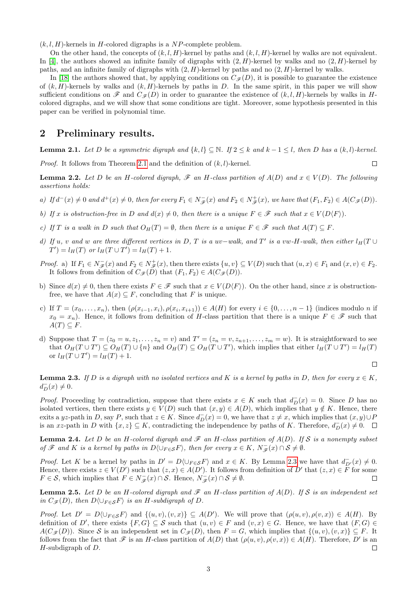$(k, l, H)$ -kernels in H-colored digraphs is a NP-complete problem.

On the other hand, the concepts of  $(k, l, H)$ -kernel by paths and  $(k, l, H)$ -kernel by walks are not equivalent. In [\[4\]](#page-9-3), the authors showed an infinite family of digraphs with  $(2, H)$ -kernel by walks and no  $(2, H)$ -kernel by paths, and an infinite family of digraphs with  $(2, H)$ -kernel by paths and no  $(2, H)$ -kernel by walks.

In [\[18\]](#page-10-20) the authors showed that, by applying conditions on  $C_{\mathscr{F}}(D)$ , it is possible to guarantee the existence of  $(k, H)$ -kernels by walks and  $(k, H)$ -kernels by paths in D. In the same spirit, in this paper we will show sufficient conditions on  $\mathscr F$  and  $C_{\mathscr F}(D)$  in order to guarantee the existence of  $(k, l, H)$ -kernels by walks in Hcolored digraphs, and we will show that some conditions are tight. Moreover, some hypothesis presented in this paper can be verified in polynomial time.

#### 2 Preliminary results.

<span id="page-2-0"></span>**Lemma 2.1.** Let D be a symmetric digraph and  $\{k, l\} \subset \mathbb{N}$ . If  $2 \le k$  and  $k - 1 \le l$ , then D has a  $(k, l)$ -kernel.

 $\Box$ 

 $\Box$ 

*Proof.* It follows from Theorem [2.1](#page-2-0) and the definition of  $(k, l)$ -kernel.

<span id="page-2-2"></span>**Lemma 2.2.** Let D be an H-colored digraph,  $\mathscr F$  an H-class partition of  $A(D)$  and  $x \in V(D)$ . The following assertions holds:

- a) If  $d^-(x) \neq 0$  and  $d^+(x) \neq 0$ , then for every  $F_1 \in N_{\mathscr{F}}^-(x)$  and  $F_2 \in N_{\mathscr{F}}^+(x)$ , we have that  $(F_1, F_2) \in A(C_{\mathscr{F}}(D))$ .
- b) If x is obstruction-free in D and  $d(x) \neq 0$ , then there is a unique  $F \in \mathscr{F}$  such that  $x \in V(D\langle F \rangle)$ .
- c) If T is a walk in D such that  $O_H(T) = \emptyset$ , then there is a unique  $F \in \mathscr{F}$  such that  $A(T) \subseteq F$ .
- d) If u, v and w are three different vertices in D, T is a uv-walk, and T' is a vw-H-walk, then either  $l_H(T \cup T)$  $T'$ ) =  $l_H(T)$  or  $l_H(T \cup T') = l_H(T) + 1$ .
- Proof. a) If  $F_1 \in N_{\mathscr{F}}(x)$  and  $F_2 \in N_{\mathscr{F}}^+(x)$ , then there exists  $\{u, v\} \subseteq V(D)$  such that  $(u, x) \in F_1$  and  $(x, v) \in F_2$ . It follows from definition of  $C_{\mathscr{F}}(D)$  that  $(F_1, F_2) \in A(C_{\mathscr{F}}(D)).$
- b) Since  $d(x) \neq 0$ , then there exists  $F \in \mathscr{F}$  such that  $x \in V(D\langle F \rangle)$ . On the other hand, since x is obstructionfree, we have that  $A(x) \subseteq F$ , concluding that F is unique.
- c) If  $T = (x_0, \ldots, x_n)$ , then  $(\rho(x_{i-1}, x_i), \rho(x_i, x_{i+1})) \in A(H)$  for every  $i \in \{0, \ldots, n-1\}$  (indices modulo n if  $x_0 = x_n$ ). Hence, it follows from definition of H-class partition that there is a unique  $F \in \mathscr{F}$  such that  $A(T) \subseteq F$ .
- d) Suppose that  $T = (z_0 = u, z_1, \ldots, z_n = v)$  and  $T' = (z_n = v, z_{n+1}, \ldots, z_m = w)$ . It is straightforward to see that  $O_H(T \cup T') \subseteq O_H(T) \cup \{n\}$  and  $O_H(T) \subseteq O_H(T \cup T')$ , which implies that either  $l_H(T \cup T') = l_H(T)$ or  $l_H(T \cup T') = l_H(T) + 1$ .

<span id="page-2-1"></span>**Lemma 2.3.** If D is a digraph with no isolated vertices and K is a kernel by paths in D, then for every  $x \in K$ ,  $d_D^-(x) \neq 0.$ 

*Proof.* Proceeding by contradiction, suppose that there exists  $x \in K$  such that  $d_D^-(x) = 0$ . Since D has no isolated vertices, then there exists  $y \in V(D)$  such that  $(x, y) \in A(D)$ , which implies that  $y \notin K$ . Hence, there exits a yz-path in D, say P, such that  $z \in K$ . Since  $d_D^-(x) = 0$ , we have that  $z \neq x$ , which implies that  $(x, y) \cup F$ is an xz-path in D with  $\{x, z\} \subseteq K$ , contradicting the independence by paths of K. Therefore,  $d_D^-(x) \neq 0$ .

<span id="page-2-4"></span>**Lemma 2.4.** Let D be an H-colored digraph and  $\mathcal F$  an H-class partition of  $A(D)$ . If S is a nonempty subset of  $\mathscr F$  and  $K$  is a kernel by paths in  $D\langle \bigcup_{F \in \mathcal S} F \rangle$ , then for every  $x \in K$ ,  $N_{\mathscr F}^-(x) \cap \mathcal S \neq \emptyset$ .

*Proof.* Let K be a kernel by paths in  $D' = D\langle \bigcup_{F \in S} F \rangle$  and  $x \in K$ . By Lemma [2.3](#page-2-1) we have that  $d_{D'}^-(x) \neq 0$ . Hence, there exists  $z \in V(D')$  such that  $(z, x) \in A(D')$ . It follows from definition of D' that  $(z, x) \in \overline{F}$  for some  $F \in \mathcal{S}$ , which implies that  $F \in N_{\mathscr{F}}^-(x) \cap \mathcal{S}$ . Hence,  $N_{\mathscr{F}}^-(x) \cap \mathcal{S} \neq \emptyset$ .  $\Box$ 

<span id="page-2-3"></span>**Lemma 2.5.** Let D be an H-colored digraph and  $\mathscr F$  an H-class partition of  $A(D)$ . If S is an independent set in  $C_{\mathscr{F}}(D)$ , then  $D\langle \cup_{F \in \mathcal{S}} F \rangle$  is an H-subdigraph of D.

Proof. Let  $D' = D(\bigcup_{F \in \mathcal{S}} F)$  and  $\{(u, v), (v, x)\}\subseteq A(D')$ . We will prove that  $(\rho(u, v), \rho(v, x)) \in A(H)$ . By definition of D', there exists  $\{F, G\} \subseteq S$  such that  $(u, v) \in F$  and  $(v, x) \in G$ . Hence, we have that  $(F, G) \in F$  $A(C_{\mathcal{F}}(D))$ . Since S is an independent set in  $C_{\mathcal{F}}(D)$ , then  $F = G$ , which implies that  $\{(u, v), (v, x)\}\subseteq F$ . It follows from the fact that  $\mathscr F$  is an H-class partition of  $A(D)$  that  $(\rho(u, v), \rho(v, x)) \in A(H)$ . Therefore, D' is an  $H$ -subdigraph of  $D$ .  $\Box$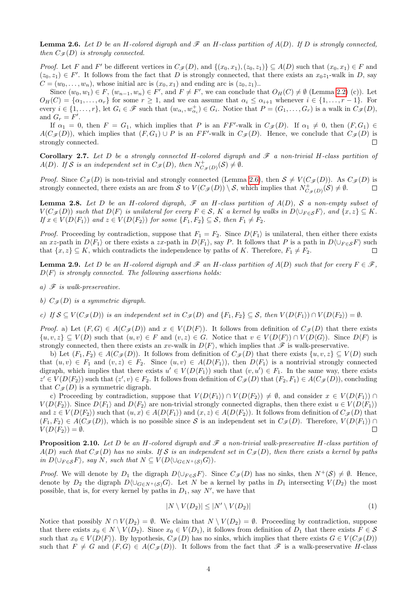<span id="page-3-0"></span>**Lemma 2.6.** Let D be an H-colored digraph and  $\mathcal F$  an H-class partition of  $A(D)$ . If D is strongly connected, then  $C_{\mathcal{F}}(D)$  is strongly connected.

*Proof.* Let F and F' be different vertices in  $C_{\mathscr{F}}(D)$ , and  $\{(x_0, x_1), (z_0, z_1)\}\subseteq A(D)$  such that  $(x_0, x_1) \in F$  and  $(z_0, z_1) \in F'$ . It follows from the fact that D is strongly connected, that there exists an  $x_0z_1$ -walk in D, say  $C = (w_0, \ldots, w_n)$ , whose initial arc is  $(x_0, x_1)$  and ending arc is  $(z_0, z_1)$ .

Since  $(w_0, w_1) \in F$ ,  $(w_{n-1}, w_n) \in F'$ , and  $F \neq F'$ , we can conclude that  $O_H(C) \neq \emptyset$  (Lemma [2.2\)](#page-2-2) (c)). Let  $O_H(C) = \{\alpha_1, \ldots, \alpha_r\}$  for some  $r \geq 1$ , and we can assume that  $\alpha_i \leq \alpha_{i+1}$  whenever  $i \in \{1, \ldots, r-1\}$ . For every  $i \in \{1, \ldots, r\}$ , let  $G_i \in \mathscr{F}$  such that  $(w_{\alpha_i}, w_{\alpha_i}^+) \in G_i$ . Notice that  $P = (G_1, \ldots, G_r)$  is a walk in  $C_{\mathscr{F}}(D)$ , and  $G_r = F'$ .

If  $\alpha_1 = 0$ , then  $F = G_1$ , which implies that P is an FF'-walk in  $C_{\mathscr{F}}(D)$ . If  $\alpha_1 \neq 0$ , then  $(F, G_1) \in$  $A(C_{\mathscr{F}}(D))$ , which implies that  $(F, G_1) \cup P$  is an  $FF'$ -walk in  $C_{\mathscr{F}}(D)$ . Hence, we conclude that  $C_{\mathscr{F}}(D)$  is strongly connected.  $\Box$ 

Corollary 2.7. Let D be a strongly connected H-colored digraph and  $\mathscr F$  a non-trivial H-class partition of  $A(D)$ . If S is an independent set in  $C_{\mathscr{F}}(D)$ , then  $N^+_{C_{\mathscr{F}}(D)}(\mathcal{S}) \neq \emptyset$ .

*Proof.* Since  $C_{\mathscr{F}}(D)$  is non-trivial and strongly connected (Lemma [2.6\)](#page-3-0), then  $S \neq V(C_{\mathscr{F}}(D))$ . As  $C_{\mathscr{F}}(D)$  is strongly connected, there exists an arc from S to  $V(C_{\mathscr{F}}(D)) \setminus S$ , which implies that  $N^+_{C_{\mathscr{F}}(D)}(\mathcal{S}) \neq \emptyset$ .  $\Box$ 

<span id="page-3-2"></span>**Lemma 2.8.** Let D be an H-colored digraph,  $\mathscr F$  an H-class partition of  $A(D)$ , S a non-empty subset of  $V(C_{\mathscr{F}}(D))$  such that  $D\langle F \rangle$  is unilateral for every  $F \in \mathcal{S}$ , K a kernel by walks in  $D\langle \bigcup_{F \in \mathcal{S}} F \rangle$ , and  $\{x, z\} \subseteq K$ . If  $x \in V(D\langle F_1 \rangle)$  and  $z \in V(D\langle F_2 \rangle)$  for some  $\{F_1, F_2\} \subseteq S$ , then  $F_1 \neq F_2$ .

*Proof.* Proceeding by contradiction, suppose that  $F_1 = F_2$ . Since  $D\langle F_1 \rangle$  is unilateral, then either there exists an xz-path in  $D\langle F_1 \rangle$  or there exists a zx-path in  $D\langle F_1 \rangle$ , say P. It follows that P is a path in  $D\langle \bigcup_{F \in S} F \rangle$  such that  $\{x, z\} \subseteq K$ , which contradicts the independence by paths of K. Therefore,  $F_1 \neq F_2$ .  $\Box$ 

<span id="page-3-3"></span>**Lemma 2.9.** Let D be an H-colored digraph and  $\mathscr F$  an H-class partition of  $A(D)$  such that for every  $F \in \mathscr F$ ,  $D\langle F \rangle$  is strongly connected. The following assertions holds:

- a)  $\mathscr F$  is walk-preservative.
- b)  $C_{\mathscr{F}}(D)$  is a symmetric digraph.

c) If  $S \subseteq V(C_{\mathscr{F}}(D))$  is an independent set in  $C_{\mathscr{F}}(D)$  and  $\{F_1, F_2\} \subseteq S$ , then  $V(D\langle F_1 \rangle) \cap V(D\langle F_2 \rangle) = \emptyset$ .

*Proof.* a) Let  $(F, G) \in A(C_{\mathscr{F}}(D))$  and  $x \in V(D\langle F \rangle)$ . It follows from definition of  $C_{\mathscr{F}}(D)$  that there exists  $\{u, v, z\} \subseteq V(D)$  such that  $(u, v) \in F$  and  $(v, z) \in G$ . Notice that  $v \in V(D\langle F \rangle) \cap V(D\langle G \rangle)$ . Since  $D\langle F \rangle$  is strongly connected, then there exists an xv-walk in  $D\langle F \rangle$ , which implies that  $\mathscr F$  is walk-preservative.

b) Let  $(F_1, F_2) \in A(C_{\mathscr{F}}(D))$ . It follows from definition of  $C_{\mathscr{F}}(D)$  that there exists  $\{u, v, z\} \subseteq V(D)$  such that  $(u, v) \in F_1$  and  $(v, z) \in F_2$ . Since  $(u, v) \in A(D\langle F_1 \rangle)$ , then  $D\langle F_1 \rangle$  is a nontrivial strongly connected digraph, which implies that there exists  $u' \in V(D\langle F_1 \rangle)$  such that  $(v, u') \in F_1$ . In the same way, there exists  $z' \in V(D \langle F_2 \rangle)$  such that  $(z', v) \in F_2$ . It follows from definition of  $C_{\mathscr{F}}(D)$  that  $(F_2, F_1) \in A(C_{\mathscr{F}}(D))$ , concluding that  $C_{\mathscr{F}}(D)$  is a symmetric digraph.

c) Proceeding by contradiction, suppose that  $V(D\langle F_1 \rangle) \cap V(D\langle F_2 \rangle) \neq \emptyset$ , and consider  $x \in V(D\langle F_1 \rangle) \cap V(D\langle F_2 \rangle)$  $V(D\langle F_2 \rangle)$ . Since  $D\langle F_1 \rangle$  and  $D\langle F_2 \rangle$  are non-trivial strongly connected digraphs, then there exist  $u \in V(D\langle F_1 \rangle)$ and  $z \in V(D\langle F_2 \rangle)$  such that  $(u, x) \in A(D\langle F_1 \rangle)$  and  $(x, z) \in A(D\langle F_2 \rangle)$ . It follows from definition of  $C_{\mathscr{F}}(D)$  that  $(F_1, F_2) \in A(C_{\mathscr{F}}(D))$ , which is no possible since S is an independent set in  $C_{\mathscr{F}}(D)$ . Therefore,  $V(D\langle F_1 \rangle) \cap$  $V(D\langle F_2 \rangle) = \emptyset.$  $\Box$ 

<span id="page-3-1"></span>**Proposition 2.10.** Let D be an H-colored digraph and  $\mathscr F$  a non-trivial walk-preservative H-class partition of  $A(D)$  such that  $C_{\mathscr{F}}(D)$  has no sinks. If S is an independent set in  $C_{\mathscr{F}}(D)$ , then there exists a kernel by paths in  $D\langle \bigcup_{F \in \mathcal{S}} F \rangle$ , say N, such that  $N \subseteq V(D\langle \bigcup_{G \in N^+(\mathcal{S})} G \rangle)$ .

*Proof.* We will denote by  $D_1$  the digraph  $D\langle \bigcup_{F \in S} F \rangle$ . Since  $C_{\mathscr{F}}(D)$  has no sinks, then  $N^+(\mathcal{S}) \neq \emptyset$ . Hence, denote by  $D_2$  the digraph  $D\langle \cup_{G\in N^+(S)} G\rangle$ . Let N be a kernel by paths in  $D_1$  intersecting  $V(D_2)$  the most possible, that is, for every kernel by paths in  $D_1$ , say N', we have that

$$
|N \setminus V(D_2)| \le |N' \setminus V(D_2)| \tag{1}
$$

Notice that possibly  $N \cap V(D_2) = \emptyset$ . We claim that  $N \setminus V(D_2) = \emptyset$ . Proceeding by contradiction, suppose that there exists  $x_0 \in N \setminus V(D_2)$ . Since  $x_0 \in V(D_1)$ , it follows from definition of  $D_1$  that there exists  $F \in \mathcal{S}$ such that  $x_0 \in V(D\langle F \rangle)$ . By hypothesis,  $C_{\mathscr{F}}(D)$  has no sinks, which implies that there exists  $G \in V(C_{\mathscr{F}}(D))$ such that  $F \neq G$  and  $(F, G) \in A(C_{\mathscr{F}}(D))$ . It follows from the fact that  $\mathscr{F}$  is a walk-preservative H-class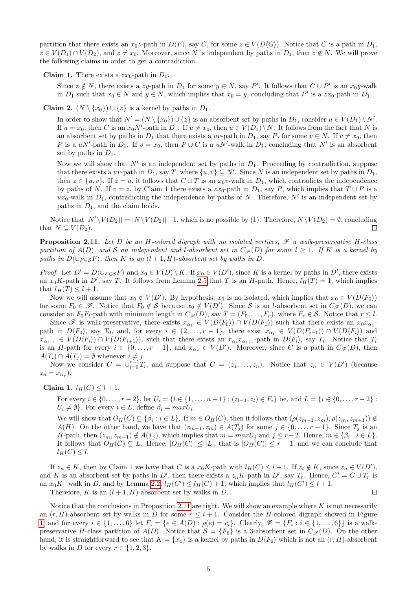partition that there exists an  $x_0z$ -path in  $D\langle F \rangle$ , say C, for some  $z \in V(D\langle G \rangle)$ . Notice that C is a path in  $D_1$ ,  $z \in V(D_1) \cap V(D_2)$ , and  $z \neq x_0$ . Moreover, since N is independent by paths in  $D_1$ , then  $z \notin N$ . We will prove the following claims in order to get a contradiction.

**Claim 1.** There exists a  $zx_0$ -path in  $D_1$ .

Since  $z \notin N$ , there exists a zy-path in  $D_1$  for some  $y \in N$ , say P'. It follows that  $C \cup P'$  is an  $x_0y$ -walk in  $D_1$  such that  $x_0 \in N$  and  $y \in N$ , which implies that  $x_0 = y$ , concluding that  $P'$  is a  $zx_0$ -path in  $D_1$ .

**Claim 2.**  $(N \setminus \{x_0\}) \cup \{z\}$  is a kernel by paths in  $D_1$ .

In order to show that  $N' = (N \setminus \{x_0\}) \cup \{z\}$  is an absorbent set by paths in  $D_1$ , consider  $u \in V(D_1) \setminus N'$ . If  $u = x_0$ , then C is an  $x_0 N'$ -path in  $D_1$ . If  $u \neq x_0$ , then  $u \in V(D_1) \setminus N$ . It follows from the fact that N is an absorbent set by paths in  $D_1$  that there exists a uv-path in  $D_1$ , say P, for some  $v \in N$ . If  $v \neq x_0$ , then P is a uN'-path in  $D_1$ . If  $v = x_0$ , then  $P \cup C$  is a uN'-walk in  $D_1$ , concluding that N' is an absorbent set by paths in  $D_1$ .

Now we will show that  $N'$  is an independent set by paths in  $D_1$ . Proceeding by contradiction, suppose that there exists a uv-path in  $D_1$ , say T, where  $\{u, v\} \subseteq N'$ . Since N is an independent set by paths in  $D_1$ , then  $z \in \{u, v\}$ . If  $z = u$ , it follows that  $C \cup T$  is an  $x_0v$ -walk in  $D_1$ , which contradicts the independence by paths of N. If  $v = z$ , by Claim 1 there exists a  $zx_0$ -path in  $D_1$ , say P, which implies that  $T \cup P$  is a  $ux_0$ -walk in  $D_1$ , contradicting the independence by paths of N. Therefore, N' is an independent set by paths in  $D_1$ , and the claim holds.

Notice that  $|N' \setminus V(D_2)| = |N \setminus V(D_2)| - 1$ , which is no possible by (1). Therefore,  $N \setminus V(D_2) = \emptyset$ , concluding that  $N \subseteq V(D_2)$ .  $\Box$ 

<span id="page-4-0"></span>**Proposition 2.11.** Let D be an H-colored digraph with no isolated vertices,  $\mathscr F$  a walk-preservative H-class partition of  $A(D)$ , and S an independent and l-absorbent set in  $C_{\mathscr{F}}(D)$  for some  $l \geq 1$ . If K is a kernel by paths in  $D\langle \bigcup_{F \in S} F \rangle$ , then K is an  $(l + 1, H)$ -absorbent set by walks in D.

*Proof.* Let  $D' = D \langle \bigcup_{F \in S} F \rangle$  and  $x_0 \in V(D) \setminus K$ . If  $x_0 \in V(D')$ , since K is a kernel by paths in D', there exists an  $x_0K$ -path in D', say T. It follows from Lemma [2.5](#page-2-3) that T is an H-path. Hence,  $l_H(T) = 1$ , which implies that  $l_H(T) \leq l+1$ .

Now we will assume that  $x_0 \notin V(D')$ . By hypothesis,  $x_0$  is no isolated, which implies that  $x_0 \in V(D \langle F_0 \rangle)$ for some  $F_0 \in \mathscr{F}$ . Notice that  $F_0 \notin \mathcal{S}$  because  $x_0 \notin V(D')$ . Since  $\mathcal{S}$  is an *l*-absorbent set in  $C_{\mathscr{F}}(D)$ , we can consider an  $F_0F_t$ -path with minimum length in  $C_{\mathcal{F}}(D)$ , say  $T = (F_0, \ldots, F_r)$ , where  $F_r \in \mathcal{S}$ . Notice that  $r \leq l$ .

Since F is walk-preservative, there exists  $x_{\alpha_1} \in V(D\langle F_0 \rangle) \cap V(D\langle F_1 \rangle)$  such that there exists an  $x_0x_{\alpha_1}$ . path in  $D\langle F_0\rangle$ , say  $T_0$ , and, for every  $i \in \{2, \ldots, r-1\}$ , there exist  $x_{\alpha_i} \in V(D\langle F_{i-1}\rangle) \cap V(D\langle F_i\rangle)$  and  $x_{\alpha_{i+1}} \in V(D\langle F_i \rangle) \cap V(D\langle F_{i+1} \rangle)$ , such that there exists an  $x_{\alpha_i} x_{\alpha_{i+1}}$ -path in  $D\langle F_i \rangle$ , say  $T_i$ . Notice that  $T_i$ is an H-path for every  $i \in \{0, \ldots, r-1\}$ , and  $x_{\alpha_r} \in V(D')$ . Moreover, since C is a path in  $C_{\mathscr{F}}(D)$ , then  $A(T_i) \cap A(T_j) = \emptyset$  whenever  $i \neq j$ .

Now we consider  $C = \bigcup_{i=0}^{r-1} T_i$ , and suppose that  $C = (z_1, \ldots, z_n)$ . Notice that  $z_n \in V(D')$  (because  $z_n = x_{\alpha_r}$ ).

Claim 1.  $l_H(C) \leq l + 1$ .

For every  $i \in \{0, \ldots, r-2\}$ , let  $U_i = \{l \in \{1, \ldots, n-1\} : (z_{l-1}, z_l) \in F_i\}$  be, and  $L = \{i \in \{0, \ldots, r-2\} :$  $U_i \neq \emptyset$ . For every  $i \in L$ , define  $\beta_i = max U_i$ .

We will show that  $O_H(C) \subseteq \{\beta_i : i \in L\}$ . If  $m \in O_H(C)$ , then it follows that  $(\rho(z_{m-1}, z_m), \rho(z_m, z_{m+1})) \notin$  $A(H)$ . On the other hand, we have that  $(z_{m-1}, z_m) \in A(T_j)$  for some  $j \in \{0, \ldots, r-1\}$ . Since  $T_j$  is an H-path, then  $(z_m, z_{m+1}) \notin A(T_j)$ , which implies that  $m = maxU_j$  and  $j \leq r-2$ . Hence,  $m \in {\beta_i : i \in L}$ . It follows that  $O_H(C) \subseteq L$ . Hence,  $|O_H(C)| \leq |L|$ , that is  $|O_H(C)| \leq r-1$ , and we can conclude that  $l_H(C) \leq l.$ 

If  $z_n \in K$ , then by Claim 1 we have that C is a  $x_0K$ -path with  $l_H(C) \leq l+1$ . If  $z_t \notin K$ , since  $z_n \in V(D')$ , and K is an absorbent set by paths in D', then there exists a  $z_n K$ -path in D', say  $T_r$ . Hence,  $C' = C \cup T_r$  is an  $x_0K$ –walk in D, and by Lemma [2.2,](#page-2-2)  $l_H(C') \leq l_H(C) + 1$ , which implies that  $l_H(C') \leq l + 1$ .  $\Box$ 

Therefore, K is an  $(l + 1, H)$ -absorbent set by walks in D.

Notice that the conclusions in Proposition [2.11](#page-4-0) are tight. We will show an example where  $K$  is not necessarily an  $(r, H)$ -absorbent set by walks in D for some  $r \leq l + 1$ . Consider the H-colored digraph showed in Figure [1,](#page-5-0) and for every  $i \in \{1, ..., 6\}$  let  $F_i = \{e \in A(D) : \rho(e) = c_i\}$ . Clearly,  $\mathscr{F} = \{F_i : i \in \{1, ..., 6\}\}$  is a walkpreservative H-class partition of  $A(D)$ . Notice that  $S = \{F_6\}$  is a 3-absorbent set in  $C_{\mathscr{F}}(D)$ . On the other hand, it is straightforward to see that  $K = \{x_4\}$  is a kernel by paths in  $D\langle F_6 \rangle$  which is not an  $(r, H)$ -absorbent by walks in D for every  $r \in \{1, 2, 3\}.$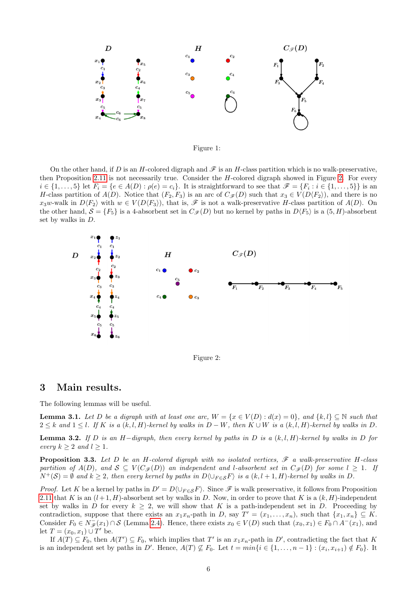

<span id="page-5-0"></span>Figure 1:

On the other hand, if D is an H-colored digraph and  $\mathscr F$  is an H-class partition which is no walk-preservative, then Proposition [2.11](#page-4-0) is not necessarily true. Consider the H-colored digraph showed in Figure [2.](#page-5-1) For every  $i \in \{1, \ldots, 5\}$  let  $F_i = \{e \in A(D) : \rho(e) = c_i\}$ . It is straightforward to see that  $\mathscr{F} = \{F_i : i \in \{1, \ldots, 5\}\}$  is an H-class partition of  $A(D)$ . Notice that  $(F_2, F_3)$  is an arc of  $C_{\mathscr{F}}(D)$  such that  $x_3 \in V(D\langle F_2 \rangle)$ , and there is no  $x_3w$ -walk in  $D\langle F_2 \rangle$  with  $w \in V(D\langle F_3 \rangle)$ , that is,  $\mathscr F$  is not a walk-preservative H-class partition of  $A(D)$ . On the other hand,  $S = \{F_5\}$  is a 4-absorbent set in  $C_{\mathscr{F}}(D)$  but no kernel by paths in  $D\langle F_5 \rangle$  is a  $(5, H)$ -absorbent set by walks in D.



<span id="page-5-1"></span>Figure 2:

### 3 Main results.

The following lemmas will be useful.

<span id="page-5-3"></span>**Lemma 3.1.** Let D be a digraph with at least one arc,  $W = \{x \in V(D) : d(x) = 0\}$ , and  $\{k, l\} \subseteq \mathbb{N}$  such that  $2 \leq k$  and  $1 \leq l$ . If K is a  $(k, l, H)$ -kernel by walks in D – W, then  $K \cup W$  is a  $(k, l, H)$ -kernel by walks in D.

<span id="page-5-4"></span>**Lemma 3.2.** If D is an H-digraph, then every kernel by paths in D is a  $(k, l, H)$ -kernel by walks in D for every  $k \geq 2$  and  $l \geq 1$ .

<span id="page-5-2"></span>**Proposition 3.3.** Let D be an H-colored digraph with no isolated vertices,  $\mathscr F$  a walk-preservative H-class partition of  $A(D)$ , and  $S \subseteq V(C_{\mathscr{F}}(D))$  an independent and l-absorbent set in  $C_{\mathscr{F}}(D)$  for some  $l \geq 1$ . If  $N^+({\cal S}) = \emptyset$  and  $k \geq 2$ , then every kernel by paths in  $D \langle \bigcup_{F \in S} F \rangle$  is a  $(k, l+1, H)$ -kernel by walks in D.

*Proof.* Let K be a kernel by paths in  $D' = D(\bigcup_{F \in S} F)$ . Since  $\mathscr F$  is walk preservative, it follows from Proposition [2.11](#page-4-0) that K is an  $(l+1, H)$ -absorbent set by walks in D. Now, in order to prove that K is a  $(k, H)$ -independent set by walks in D for every  $k \geq 2$ , we will show that K is a path-independent set in D. Proceeding by contradiction, suppose that there exists an  $x_1x_n$ -path in D, say  $T' = (x_1, \ldots, x_n)$ , such that  $\{x_1, x_n\} \subseteq K$ . Consider  $F_0 \in N_{\mathscr{F}}(x_1) \cap S$  (Lemma [2.4\)](#page-2-4). Hence, there exists  $x_0 \in V(D)$  such that  $(x_0, x_1) \in F_0 \cap A^-(x_1)$ , and let  $T = (x_0, x_1) \cup T'$  be.

If  $A(T) \subseteq F_0$ , then  $A(T') \subseteq F_0$ , which implies that T' is an  $x_1x_n$ -path in D', contradicting the fact that K is an independent set by paths in D'. Hence,  $A(T) \nsubseteq F_0$ . Let  $t = min\{i \in \{1, ..., n-1\} : (x_i, x_{i+1}) \notin F_0\}$ . It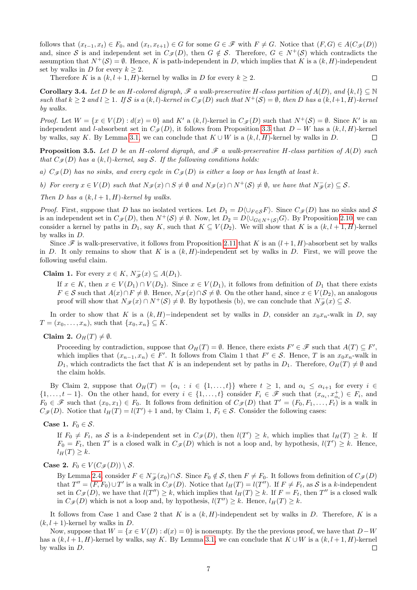follows that  $(x_{t-1}, x_t) \in F_0$ , and  $(x_t, x_{t+1}) \in G$  for some  $G \in \mathscr{F}$  with  $F \neq G$ . Notice that  $(F, G) \in A(C_{\mathscr{F}}(D))$ and, since S is and independent set in  $C_{\mathscr{F}}(D)$ , then  $G \notin \mathcal{S}$ . Therefore,  $G \in N^+(\mathcal{S})$  which contradicts the assumption that  $N^+(\mathcal{S}) = \emptyset$ . Hence, K is path-independent in D, which implies that K is a  $(k, H)$ -independent set by walks in D for every  $k \geq 2$ .

 $\Box$ 

Therefore K is a  $(k, l+1, H)$ -kernel by walks in D for every  $k \geq 2$ .

**Corollary 3.4.** Let D be an H-colored digraph,  $\mathscr F$  a walk-preservative H-class partition of  $A(D)$ , and  $\{k, l\} \subseteq \mathbb N$ such that  $k \geq 2$  and  $l \geq 1$ . If S is a  $(k, l)$ -kernel in  $C_{\mathscr{F}}(D)$  such that  $N^+(\mathcal{S}) = \emptyset$ , then D has a  $(k, l+1, H)$ -kernel by walks.

*Proof.* Let  $W = \{x \in V(D) : d(x) = 0\}$  and  $K'$  a  $(k, l)$ -kernel in  $C_{\mathscr{F}}(D)$  such that  $N^+(\mathcal{S}) = \emptyset$ . Since  $K'$  is an independent and l-absorbent set in  $C_{\mathscr{F}}(D)$ , it follows from Proposition [3.3](#page-5-2) that  $D - W$  has a  $(k, l, H)$ -kernel by walks, say K. By Lemma [3.1,](#page-5-3) we can conclude that  $K \cup W$  is a  $(k, l, H)$ -kernel by walks in D.  $\Box$ 

<span id="page-6-0"></span>**Proposition 3.5.** Let D be an H-colored digraph, and  $\mathscr F$  a walk-preservative H-class partition of  $A(D)$  such that  $C_{\mathscr{F}}(D)$  has a  $(k, l)$ -kernel, say S. If the following conditions holds:

a)  $C_{\mathscr{F}}(D)$  has no sinks, and every cycle in  $C_{\mathscr{F}}(D)$  is either a loop or has length at least k.

b) For every  $x \in V(D)$  such that  $N_{\mathscr{F}}(x) \cap S \neq \emptyset$  and  $N_{\mathscr{F}}(x) \cap N^+(\mathcal{S}) \neq \emptyset$ , we have that  $N_{\mathscr{F}}^-(x) \subseteq \mathcal{S}$ .

Then D has a  $(k, l + 1, H)$ -kernel by walks.

*Proof.* First, suppose that D has no isolated vertices. Let  $D_1 = D \setminus \cup_{F \in S} F$ . Since  $C_{\mathscr{F}}(D)$  has no sinks and S is an independent set in  $C_{\mathscr{F}}(D)$ , then  $N^+(\mathcal{S}) \neq \emptyset$ . Now, let  $D_2 = D\langle \cup_{G \in N^+(\mathcal{S})} G \rangle$ . By Proposition [2.10,](#page-3-1) we can consider a kernel by paths in  $D_1$ , say K, such that  $K \subseteq V(D_2)$ . We will show that K is a  $(k, l+1, H)$ -kernel by walks in D.

Since  $\mathscr F$  is walk-preservative, it follows from Proposition [2.11](#page-4-0) that K is an  $(l+1, H)$ -absorbent set by walks in D. It only remains to show that K is a  $(k, H)$ -independent set by walks in D. First, we will prove the following useful claim.

**Claim 1.** For every  $x \in K$ ,  $N_{\mathscr{F}}(x) \subseteq A(D_1)$ .

If  $x \in K$ , then  $x \in V(D_1) \cap V(D_2)$ . Since  $x \in V(D_1)$ , it follows from definition of  $D_1$  that there exists  $F \in \mathcal{S}$  such that  $A(x) \cap F \neq \emptyset$ . Hence,  $N_{\mathscr{F}}(x) \cap \mathcal{S} \neq \emptyset$ . On the other hand, since  $x \in V(D_2)$ , an analogous proof will show that  $N_{\mathscr{F}}(x) \cap N^+(\mathcal{S}) \neq \emptyset$ . By hypothesis (b), we can conclude that  $N_{\mathscr{F}}(x) \subseteq \mathcal{S}$ .

In order to show that K is a  $(k, H)$ −independent set by walks in D, consider an  $x_0x_n$ -walk in D, say  $T = (x_0, ..., x_n)$ , such that  $\{x_0, x_n\} \subseteq K$ .

Claim 2.  $O_H(T) \neq \emptyset$ .

Proceeding by contradiction, suppose that  $O_H(T) = \emptyset$ . Hence, there exists  $F' \in \mathscr{F}$  such that  $A(T) \subseteq F'$ , which implies that  $(x_{n-1}, x_n) \in F'$ . It follows from Claim 1 that  $F' \in S$ . Hence, T is an  $x_0x_n$ -walk in  $D_1$ , which contradicts the fact that K is an independent set by paths in  $D_1$ . Therefore,  $O_H(T) \neq \emptyset$  and the claim holds.

By Claim 2, suppose that  $O_H(T) = \{\alpha_i : i \in \{1, ..., t\}\}\$  where  $t \geq 1$ , and  $\alpha_i \leq \alpha_{i+1}$  for every  $i \in$  $\{1,\ldots,t-1\}$ . On the other hand, for every  $i \in \{1,\ldots,t\}$  consider  $F_i \in \mathscr{F}$  such that  $(x_{\alpha_i},x_{\alpha_i}^+) \in F_i$ , and  $F_0 \in \mathscr{F}$  such that  $(x_0, x_1) \in F_0$ . It follows from definition of  $C_{\mathscr{F}}(D)$  that  $T' = (F_0, F_1, \ldots, F_t)$  is a walk in  $C_{\mathscr{F}}(D)$ . Notice that  $l_H(T) = l(T') + 1$  and, by Claim 1,  $F_t \in \mathcal{S}$ . Consider the following cases:

Case 1.  $F_0 \in \mathcal{S}$ .

If  $F_0 \neq F_t$ , as S is a k-independent set in  $C_{\mathscr{F}}(D)$ , then  $l(T') \geq k$ , which implies that  $l_H(T) \geq k$ . If  $F_0 = F_t$ , then T' is a closed walk in  $C_{\mathscr{F}}(D)$  which is not a loop and, by hypothesis,  $l(T') \geq k$ . Hence,  $l_H(T) \geq k$ .

Case 2.  $F_0 \in V(C_{\mathscr{F}}(D)) \setminus \mathcal{S}$ .

By Lemma [2.4,](#page-2-4) consider  $F \in N_{\mathscr{F}}(x_0) \cap \mathcal{S}$ . Since  $F_0 \notin \mathcal{S}$ , then  $F \neq F_0$ . It follows from definition of  $C_{\mathscr{F}}(D)$ that  $T'' = (F, F_0) \cup T'$  is a walk in  $C_{\mathscr{F}}(D)$ . Notice that  $l_H(T) = l(T'')$ . If  $F \neq F_t$ , as S is a k-independent set in  $C_{\mathscr{F}}(D)$ , we have that  $l(T'') \geq k$ , which implies that  $l_H(T) \geq k$ . If  $F = F_t$ , then  $T''$  is a closed walk in  $C_{\mathscr{F}}(D)$  which is not a loop and, by hypothesis,  $l(T'') \geq k$ . Hence,  $l_H(T) \geq k$ .

It follows from Case 1 and Case 2 that K is a  $(k, H)$ -independent set by walks in D. Therefore, K is a  $(k, l + 1)$ -kernel by walks in D.

Now, suppose that  $W = \{x \in V(D) : d(x) = 0\}$  is nonempty. By the the previous proof, we have that  $D-W$ has a  $(k, l + 1, H)$ -kernel by walks, say K. By Lemma [3.1,](#page-5-3) we can conclude that  $K \cup W$  is a  $(k, l + 1, H)$ -kernel by walks in D.  $\Box$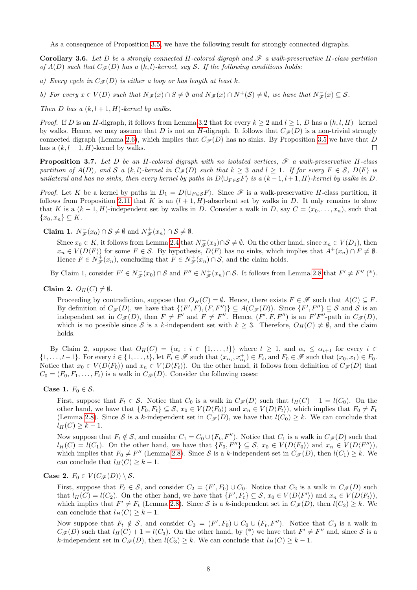As a consequence of Proposition [3.5,](#page-6-0) we have the following result for strongly connected digraphs.

**Corollary 3.6.** Let D be a strongly connected H-colored digraph and  $\mathscr F$  a walk-preservative H-class partition of  $A(D)$  such that  $C_{\mathcal{F}}(D)$  has a  $(k, l)$ -kernel, say S. If the following conditions holds:

a) Every cycle in  $C_{\mathcal{F}}(D)$  is either a loop or has length at least k.

b) For every  $x \in V(D)$  such that  $N_{\mathscr{F}}(x) \cap S \neq \emptyset$  and  $N_{\mathscr{F}}(x) \cap N^+(\mathcal{S}) \neq \emptyset$ , we have that  $N_{\mathscr{F}}^-(x) \subseteq \mathcal{S}$ .

Then D has a  $(k, l+1, H)$ -kernel by walks.

*Proof.* If D is an H-digraph, it follows from Lemma [3.2](#page-5-4) that for every  $k \geq 2$  and  $l \geq 1$ , D has a  $(k, l, H)$ –kernel by walks. Hence, we may assume that D is not an H-digraph. It follows that  $C_{\mathscr{F}}(D)$  is a non-trivial strongly connected digraph (Lemma [2.6\)](#page-3-0), which implies that  $C_{\mathscr{F}}(D)$  has no sinks. By Proposition [3.5](#page-6-0) we have that D has a  $(k, l + 1, H)$ -kernel by walks.  $\Box$ 

<span id="page-7-0"></span>**Proposition 3.7.** Let D be an H-colored digraph with no isolated vertices,  $\mathscr F$  a walk-preservative H-class partition of  $A(D)$ , and S a  $(k, l)$ -kernel in  $C_{\mathscr{F}}(D)$  such that  $k \geq 3$  and  $l \geq 1$ . If for every  $F \in \mathcal{S}$ ,  $D\langle F \rangle$  is unilateral and has no sinks, then every kernel by paths in  $D\setminus\cup_{F\in\mathcal{S}} F$  is a  $(k-1,l+1,H)$ -kernel by walks in D.

*Proof.* Let K be a kernel by paths in  $D_1 = D\langle \bigcup_{F \in \mathcal{S}} F \rangle$ . Since  $\mathcal{F}$  is a walk-preservative H-class partition, it follows from Proposition [2.11](#page-4-0) that K is an  $(l + 1, H)$ -absorbent set by walks in D. It only remains to show that K is a  $(k-1, H)$ -independent set by walks in D. Consider a walk in D, say  $C = (x_0, \ldots, x_n)$ , such that  ${x_0, x_n} \subseteq K$ .

**Claim 1.**  $N_{\mathscr{F}}(x_0) \cap \mathcal{S} \neq \emptyset$  and  $N_{\mathscr{F}}^+(x_n) \cap \mathcal{S} \neq \emptyset$ .

Since  $x_0 \in K$ , it follows from Lemma [2.4](#page-2-4) that  $N_{\mathscr{F}}^-(x_0) \cap \mathcal{S} \neq \emptyset$ . On the other hand, since  $x_n \in V(D_1)$ , then  $x_n \in V(D\langle F \rangle)$  for some  $F \in \mathcal{S}$ . By hypothesis,  $D\langle F \rangle$  has no sinks, which implies that  $A^+(x_n) \cap F \neq \emptyset$ . Hence  $F \in N^+_{\mathscr{F}}(x_n)$ , concluding that  $F \in N^+_{\mathscr{F}}(x_n) \cap S$ , and the claim holds.

By Claim 1, consider  $F' \in N_{\mathscr{F}}(x_0) \cap \mathcal{S}$  and  $F'' \in N_{\mathscr{F}}^+(x_n) \cap \mathcal{S}$ . It follows from Lemma [2.8](#page-3-2) that  $F' \neq F''$  (\*).

Claim 2.  $O_H(C) \neq \emptyset$ .

Proceeding by contradiction, suppose that  $O_H(C) = \emptyset$ . Hence, there exists  $F \in \mathscr{F}$  such that  $A(C) \subseteq F$ . By definition of  $C_{\mathscr{F}}(D)$ , we have that  $\{(F', F), (F, F'')\} \subseteq A(C_{\mathscr{F}}(D))$ . Since  $\{F', F''\} \subseteq S$  and S is an independent set in  $C_{\mathscr{F}}(D)$ , then  $F \neq F'$  and  $F \neq F''$ . Hence,  $(F', F, F'')$  is an  $F'F''$ -path in  $C_{\mathscr{F}}(D)$ , which is no possible since S is a k-independent set with  $k \geq 3$ . Therefore,  $O_H(C) \neq \emptyset$ , and the claim holds.

By Claim 2, suppose that  $O_H(C) = \{\alpha_i : i \in \{1, ..., t\}\}\$  where  $t \geq 1$ , and  $\alpha_i \leq \alpha_{i+1}$  for every  $i \in$  $\{1,\ldots,t-1\}$ . For every  $i \in \{1,\ldots,t\}$ , let  $F_i \in \mathscr{F}$  such that  $(x_{\alpha_i},x_{\alpha_i}^+) \in F_i$ , and  $F_0 \in \mathscr{F}$  such that  $(x_0,x_1) \in F_0$ . Notice that  $x_0 \in V(D\langle F_0 \rangle)$  and  $x_n \in V(D\langle F_t \rangle)$ . On the other hand, it follows from definition of  $C_{\mathscr{F}}(D)$  that  $C_0 = (F_0, F_1, \ldots, F_t)$  is a walk in  $C_{\mathcal{F}}(D)$ . Consider the following cases:

Case 1.  $F_0 \in \mathcal{S}$ .

First, suppose that  $F_t \in \mathcal{S}$ . Notice that  $C_0$  is a walk in  $C_{\mathscr{F}}(D)$  such that  $l_H(C) - 1 = l(C_0)$ . On the other hand, we have that  $\{F_0, F_t\} \subseteq \mathcal{S}$ ,  $x_0 \in V(D\langle F_0 \rangle)$  and  $x_n \in V(D\langle F_t \rangle)$ , which implies that  $F_0 \neq F_t$ (Lemma [2.8\)](#page-3-2). Since S is a k-independent set in  $C_{\mathscr{F}}(D)$ , we have that  $l(C_0) \geq k$ . We can conclude that  $l_H(C) \geq k-1.$ 

Now suppose that  $F_t \notin \mathcal{S}$ , and consider  $C_1 = C_0 \cup (F_t, F'')$ . Notice that  $C_1$  is a walk in  $C_{\mathcal{F}}(D)$  such that  $l_H(C) = l(C_1)$ . On the other hand, we have that  $\{F_0, F''\} \subseteq S$ ,  $x_0 \in V(D\langle F_0 \rangle)$  and  $x_n \in V(D\langle F'' \rangle)$ , which implies that  $F_0 \neq F''$  (Lemma [2.8\)](#page-3-2). Since S is a k-independent set in  $C_{\mathscr{F}}(D)$ , then  $l(C_1) \geq k$ . We can conclude that  $l_H(C) \geq k - 1$ .

Case 2. 
$$
F_0 \in V(C_{\mathscr{F}}(D)) \setminus \mathcal{S}
$$
.

First, suppose that  $F_t \in \mathcal{S}$ , and consider  $C_2 = (F', F_0) \cup C_0$ . Notice that  $C_2$  is a walk in  $C_{\mathcal{F}}(D)$  such that  $l_H(C) = l(C_2)$ . On the other hand, we have that  $\{F', F_t\} \subseteq S$ ,  $x_0 \in V(D\langle F' \rangle)$  and  $x_n \in V(D\langle F_t \rangle)$ , which implies that  $F' \neq F_t$  (Lemma [2.8\)](#page-3-2). Since S is a k-independent set in  $C_{\mathscr{F}}(D)$ , then  $l(C_2) \geq k$ . We can conclude that  $l_H(C) \geq k - 1$ .

Now suppose that  $F_t \notin S$ , and consider  $C_3 = (F', F_0) \cup C_0 \cup (F_t, F'')$ . Notice that  $C_3$  is a walk in  $C_{\mathscr{F}}(D)$  such that  $l_H(C) + 1 = l(C_3)$ . On the other hand, by (\*) we have that  $F' \neq F''$  and, since S is a k-independent set in  $C_{\mathscr{F}}(D)$ , then  $l(C_3) \geq k$ . We can conclude that  $l_H(C) \geq k - 1$ .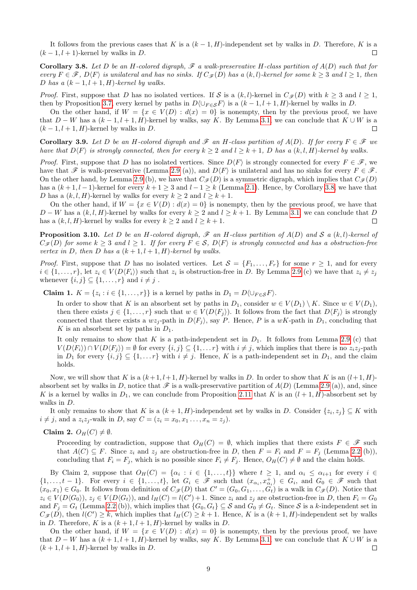It follows from the previous cases that K is a  $(k-1, H)$ -independent set by walks in D. Therefore, K is a  $(k-1, l+1)$ -kernel by walks in D.  $\Box$ 

<span id="page-8-0"></span>**Corollary 3.8.** Let D be an H-colored digraph,  $\mathscr F$  a walk-preservative H-class partition of  $A(D)$  such that for every  $F \in \mathscr{F}$ ,  $D\langle F \rangle$  is unilateral and has no sinks. If  $C_{\mathscr{F}}(D)$  has a  $(k, l)$ -kernel for some  $k \geq 3$  and  $l \geq 1$ , then D has a  $(k-1, l+1, H)$ -kernel by walks.

*Proof.* First, suppose that D has no isolated vertices. If S is a  $(k, l)$ -kernel in  $C_{\mathscr{F}}(D)$  with  $k \geq 3$  and  $l \geq 1$ , then by Proposition [3.7,](#page-7-0) every kernel by paths in  $D\langle \bigcup_{F \in S} F \rangle$  is a  $(k-1, l+1, H)$ -kernel by walks in D.

On the other hand, if  $W = \{x \in V(D) : d(x) = 0\}$  is nonempty, then by the previous proof, we have that  $D - W$  has a  $(k - 1, l + 1, H)$ -kernel by walks, say K. By Lemma [3.1,](#page-5-3) we can conclude that  $K \cup W$  is a  $(k-1, l+1, H)$ -kernel by walks in D.  $\Box$ 

**Corollary 3.9.** Let D be an H-colored digraph and  $\mathscr F$  an H-class partition of  $A(D)$ . If for every  $F \in \mathscr F$  we have that  $D\langle F \rangle$  is strongly connected, then for every  $k \geq 2$  and  $l \geq k+1$ , D has a  $(k, l, H)$ -kernel by walks.

*Proof.* First, suppose that D has no isolated vertices. Since  $D\langle F \rangle$  is strongly connected for every  $F \in \mathscr{F}$ , we have that  $\mathscr F$  is walk-preservative (Lemma [2.9](#page-3-3) (a)), and  $D\langle F \rangle$  is unilateral and has no sinks for every  $F \in \mathscr F$ . On the other hand, by Lemma [2.9](#page-3-3) (b), we have that  $C_{\mathscr{F}}(D)$  is a symmetric digraph, which implies that  $C_{\mathscr{F}}(D)$ has a  $(k+1, l-1)$ -kernel for every  $k+1 \geq 3$  and  $l-1 \geq k$  (Lemma [2.1\)](#page-2-0). Hence, by Corollary [3.8,](#page-8-0) we have that D has a  $(k, l, H)$ -kernel by walks for every  $k \geq 2$  and  $l \geq k+1$ .

On the other hand, if  $W = \{x \in V(D) : d(x) = 0\}$  is nonempty, then by the previous proof, we have that  $D - W$  has a  $(k, l, H)$ -kernel by walks for every  $k \ge 2$  and  $l \ge k + 1$ . By Lemma [3.1,](#page-5-3) we can conclude that D has a  $(k, l, H)$ -kernel by walks for every  $k \geq 2$  and  $l \geq k + 1$ .  $\Box$ 

<span id="page-8-1"></span>**Proposition 3.10.** Let D be an H-colored digraph,  $\mathscr F$  an H-class partition of  $A(D)$  and  $S$  a  $(k, l)$ -kernel of  $C_{\mathscr{F}}(D)$  for some  $k \geq 3$  and  $l \geq 1$ . If for every  $F \in \mathcal{S}$ ,  $D\langle F \rangle$  is strongly connected and has a obstruction-free vertex in D, then D has a  $(k+1, l+1, H)$ -kernel by walks.

*Proof.* First, suppose that D has no isolated vertices. Let  $S = \{F_1, \ldots, F_r\}$  for some  $r \geq 1$ , and for every  $i \in \{1,\ldots,r\}$ , let  $z_i \in V(D\langle F_i \rangle)$  such that  $z_i$  is obstruction-free in D. By Lemma [2.9](#page-3-3) (c) we have that  $z_i \neq z_j$ whenever  $\{i, j\} \subseteq \{1, \ldots, r\}$  and  $i \neq j$ .

**Claim 1.**  $K = \{z_i : i \in \{1, ..., r\}\}\$ is a kernel by paths in  $D_1 = D\langle \bigcup_{F \in \mathcal{S}} F \rangle$ .

In order to show that K is an absorbent set by paths in  $D_1$ , consider  $w \in V(D_1) \setminus K$ . Since  $w \in V(D_1)$ , then there exists  $j \in \{1, \ldots, r\}$  such that  $w \in V(D\langle F_i \rangle)$ . It follows from the fact that  $D\langle F_i \rangle$  is strongly connected that there exists a  $wz_j$ -path in  $D\langle F_j \rangle$ , say P. Hence, P is a  $wK$ -path in  $D_1$ , concluding that K is an absorbent set by paths in  $D_1$ .

It only remains to show that K is a path-independent set in  $D_1$ . It follows from Lemma [2.9](#page-3-3) (c) that  $V(D\langle F_i \rangle) \cap V(D\langle F_i \rangle) = \emptyset$  for every  $\{i, j\} \subseteq \{1, \ldots r\}$  with  $i \neq j$ , which implies that there is no  $z_i z_j$ -path in  $D_1$  for every  $\{i, j\} \subseteq \{1, \ldots r\}$  with  $i \neq j$ . Hence, K is a path-independent set in  $D_1$ , and the claim holds.

Now, we will show that K is a  $(k+1, l+1, H)$ -kernel by walks in D. In order to show that K is an  $(l+1, H)$ absorbent set by walks in D, notice that  $\mathscr F$  is a walk-preservative partition of  $A(D)$  (Lemma [2.9](#page-3-3) (a)), and, since K is a kernel by walks in  $D_1$ , we can conclude from Proposition [2.11](#page-4-0) that K is an  $(l+1, H)$ -absorbent set by walks in D.

It only remains to show that K is a  $(k+1, H)$ -independent set by walks in D. Consider  $\{z_i, z_j\} \subseteq K$  with  $i \neq j$ , and a  $z_i z_j$ -walk in D, say  $C = (z_i = x_0, x_1 \dots, x_n = z_j)$ .

Claim 2.  $O_H(C) \neq \emptyset$ .

Proceeding by contradiction, suppose that  $O_H(C) = \emptyset$ , which implies that there exists  $F \in \mathscr{F}$  such that  $A(C) \subseteq F$ . Since  $z_i$  and  $z_j$  are obstruction-free in D, then  $F = F_i$  and  $F = F_j$  (Lemma [2.2](#page-2-2) (b)), concluding that  $F_i = F_j$ , which is no possible since  $F_i \neq F_j$ . Hence,  $O_H(C) \neq \emptyset$  and the claim holds.

By Claim 2, suppose that  $O_H(C) = \{\alpha_i : i \in \{1, ..., t\}\}\$  where  $t \geq 1$ , and  $\alpha_i \leq \alpha_{i+1}$  for every  $i \in$  $\{1,\ldots,t-1\}$ . For every  $i \in \{1,\ldots,t\}$ , let  $G_i \in \mathscr{F}$  such that  $(x_{\alpha_i},x_{\alpha_i}^+) \in G_i$ , and  $G_0 \in \mathscr{F}$  such that  $(x_0, x_1) \in G_0$ . It follows from definition of  $C_{\mathscr{F}}(D)$  that  $C' = (G_0, G_1, \ldots, G_t)$  is a walk in  $C_{\mathscr{F}}(D)$ . Notice that  $z_i \in V(D\langle G_0 \rangle), z_j \in V(D\langle G_t \rangle),$  and  $l_H(C) = l(C') + 1$ . Since  $z_i$  and  $z_j$  are obstruction-free in D, then  $F_i = G_0$ and  $F_j = G_t$  (Lemma [2.2](#page-2-2) (b)), which implies that  $\{G_0, G_t\} \subseteq S$  and  $G_0 \neq G_t$ . Since S is a k-independent set in  $C_{\mathscr{F}}(D)$ , then  $l(C') \geq k$ , which implies that  $l_H(C) \geq k+1$ . Hence, K is a  $(k+1, H)$ -independent set by walks in D. Therefore, K is a  $(k+1, l+1, H)$ -kernel by walks in D.

On the other hand, if  $W = \{x \in V(D) : d(x) = 0\}$  is nonempty, then by the previous proof, we have that  $D - W$  has a  $(k + 1, l + 1, H)$ -kernel by walks, say K. By Lemma [3.1,](#page-5-3) we can conclude that  $K \cup W$  is a  $(k + 1, l + 1, H)$ -kernel by walks in D.  $\Box$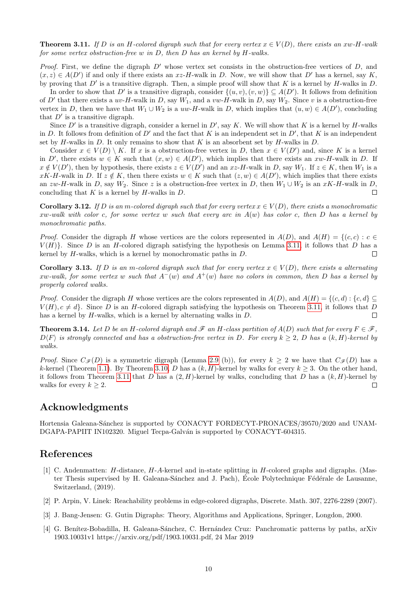<span id="page-9-4"></span>**Theorem 3.11.** If D is an H-colored digraph such that for every vertex  $x \in V(D)$ , there exists an xw-H-walk for some vertex obstruction-free w in  $D$ , then  $D$  has an kernel by  $H$ -walks.

*Proof.* First, we define the digraph  $D'$  whose vertex set consists in the obstruction-free vertices of  $D$ , and  $(x, z) \in A(D')$  if and only if there exists an  $xz$ -H-walk in D. Now, we will show that D' has a kernel, say K, by proving that  $D'$  is a transitive digraph. Then, a simple proof will show that K is a kernel by H-walks in D.

In order to show that D' is a transitive digraph, consider  $\{(u, v), (v, w)\}\subseteq A(D')$ . It follows from definition of D' that there exists a  $uv-H$ -walk in D, say  $W_1$ , and a  $vw-H$ -walk in D, say  $W_2$ . Since v is a obstruction-free vertex in D, then we have that  $W_1 \cup W_2$  is a uw-H-walk in D, which implies that  $(u, w) \in A(D')$ , concluding that  $D'$  is a transitive digraph.

Since  $D'$  is a transitive digraph, consider a kernel in  $D'$ , say K. We will show that K is a kernel by H-walks in D. It follows from definition of D' and the fact that K is an independent set in  $D'$ , that K is an independent set by H-walks in D. It only remains to show that K is an absorbent set by H-walks in D.

Consider  $x \in V(D) \setminus K$ . If x is a obstruction-free vertex in D, then  $x \in V(D')$  and, since K is a kernel in D', there exists  $w \in K$  such that  $(x, w) \in A(D')$ , which implies that there exists an  $xw$ -H-walk in D. If  $x \notin V(D')$ , then by hypothesis, there exists  $z \in V(D')$  and an  $xz$ -H-walk in D, say  $W_1$ . If  $z \in K$ , then  $W_1$  is a xK-H-walk in D. If  $z \notin K$ , then there exists  $w \in K$  such that  $(z, w) \in A(D')$ , which implies that there exists an zw-H-walk in D, say W<sub>2</sub>. Since z is a obstruction-free vertex in D, then  $W_1 \cup W_2$  is an xK-H-walk in D, concluding that  $K$  is a kernel by  $H$ -walks in  $D$ .  $\Box$ 

**Corollary 3.12.** If D is an m-colored digraph such that for every vertex  $x \in V(D)$ , there exists a monochromatic xw-walk with color c, for some vertex w such that every arc in  $A(w)$  has color c, then D has a kernel by monochromatic paths.

*Proof.* Consider the digraph H whose vertices are the colors represented in  $A(D)$ , and  $A(H) = \{(c, c) : c \in$  $V(H)$ . Since D is an H-colored digraph satisfying the hypothesis on Lemma [3.11,](#page-9-4) it follows that D has a kernel by  $H$ -walks, which is a kernel by monochromatic paths in  $D$ .  $\Box$ 

**Corollary 3.13.** If D is an m-colored digraph such that for every vertex  $x \in V(D)$ , there exists a alternating xw-walk, for some vertex w such that  $A^{-}(w)$  and  $A^{+}(w)$  have no colors in common, then D has a kernel by properly colored walks.

*Proof.* Consider the digraph H whose vertices are the colors represented in  $A(D)$ , and  $A(H) = \{(c, d) : \{c, d\} \subseteq$  $V(H), c \neq d$ . Since D is an H-colored digraph satisfying the hypothesis on Theorem [3.11,](#page-9-4) it follows that D has a kernel by H-walks, which is a kernel by alternating walks in  $D$ .  $\Box$ 

**Theorem 3.14.** Let D be an H-colored digraph and  $\mathscr F$  an H-class partition of  $A(D)$  such that for every  $F \in \mathscr F$ ,  $D\langle F \rangle$  is strongly connected and has a obstruction-free vertex in D. For every  $k \geq 2$ , D has a  $(k, H)$ -kernel by walks.

*Proof.* Since  $C_{\mathscr{F}}(D)$  is a symmetric digraph (Lemma [2.9](#page-3-3) (b)), for every  $k \geq 2$  we have that  $C_{\mathscr{F}}(D)$  has a k-kernel (Theorem [1.1\)](#page-0-0). By Theorem [3.10,](#page-8-1) D has a  $(k, H)$ -kernel by walks for every  $k \geq 3$ . On the other hand, it follows from Theorem [3.11](#page-9-4) that D has a  $(2, H)$ -kernel by walks, concluding that D has a  $(k, H)$ -kernel by walks for every  $k \geq 2$ . П

# Acknowledgments

Hortensia Galeana-Sánchez is supported by CONACYT FORDECYT-PRONACES/39570/2020 and UNAM-DGAPA-PAPIIT IN102320. Miguel Tecpa-Galván is supported by CONACYT-604315.

### References

- <span id="page-9-2"></span>[1] C. Andenmatten: H-distance, H-A-kernel and in-state splitting in H-colored graphs and digraphs. (Master Thesis supervised by H. Galeana-Sánchez and J. Pach), École Polytechnique Fédérale de Lausanne, Switzerland, (2019).
- <span id="page-9-1"></span>[2] P. Arpin, V. Linek: Reachability problems in edge-colored digraphs, Discrete. Math. 307, 2276-2289 (2007).
- <span id="page-9-0"></span>[3] J. Bang-Jensen: G. Gutin Digraphs: Theory, Algorithms and Applications, Springer, Longdon, 2000.
- <span id="page-9-3"></span>[4] G. Benítez-Bobadilla, H. Galeana-Sánchez, C. Hernández Cruz: Panchromatic patterns by paths, arXiv 1903.10031v1 https://arxiv.org/pdf/1903.10031.pdf, 24 Mar 2019